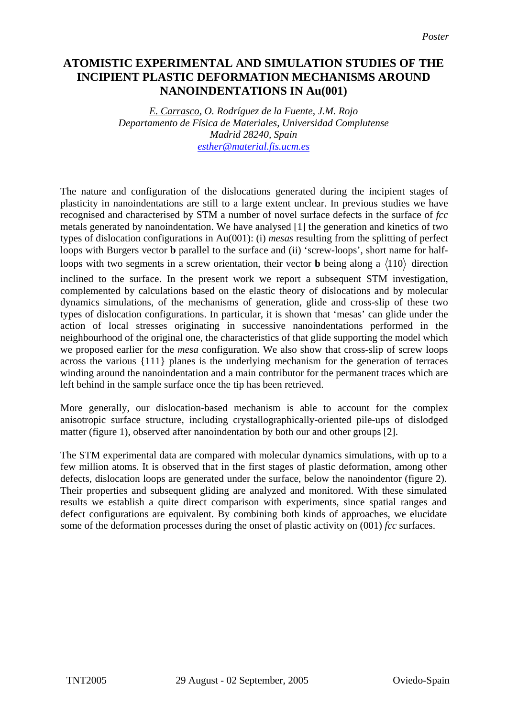## **ATOMISTIC EXPERIMENTAL AND SIMULATION STUDIES OF THE INCIPIENT PLASTIC DEFORMATION MECHANISMS AROUND NANOINDENTATIONS IN Au(001)**

*E. Carrasco, O. Rodríguez de la Fuente, J.M. Rojo Departamento de Física de Materiales, Universidad Complutense Madrid 28240, Spain [esther@material.fis.ucm.es](mailto:esther@material.fis.ucm.es)*

The nature and configuration of the dislocations generated during the incipient stages of plasticity in nanoindentations are still to a large extent unclear. In previous studies we have recognised and characterised by STM a number of novel surface defects in the surface of *fcc* metals generated by nanoindentation. We have analysed [1] the generation and kinetics of two types of dislocation configurations in Au(001): (i) *mesas* resulting from the splitting of perfect loops with Burgers vector **b** parallel to the surface and (ii) 'screw-loops', short name for halfloops with two segments in a screw orientation, their vector **b** being along a  $\langle 110 \rangle$  direction

inclined to the surface. In the present work we report a subsequent STM investigation, complemented by calculations based on the elastic theory of dislocations and by molecular dynamics simulations, of the mechanisms of generation, glide and cross-slip of these two types of dislocation configurations. In particular, it is shown that 'mesas' can glide under the action of local stresses originating in successive nanoindentations performed in the neighbourhood of the original one, the characteristics of that glide supporting the model which we proposed earlier for the *mesa* configuration. We also show that cross-slip of screw loops across the various {111} planes is the underlying mechanism for the generation of terraces winding around the nanoindentation and a main contributor for the permanent traces which are left behind in the sample surface once the tip has been retrieved.

More generally, our dislocation-based mechanism is able to account for the complex anisotropic surface structure, including crystallographically-oriented pile-ups of dislodged matter (figure 1), observed after nanoindentation by both our and other groups [2].

The STM experimental data are compared with molecular dynamics simulations, with up to a few million atoms. It is observed that in the first stages of plastic deformation, among other defects, dislocation loops are generated under the surface, below the nanoindentor (figure 2). Their properties and subsequent gliding are analyzed and monitored. With these simulated results we establish a quite direct comparison with experiments, since spatial ranges and defect configurations are equivalent. By combining both kinds of approaches, we elucidate some of the deformation processes during the onset of plastic activity on (001) *fcc* surfaces.